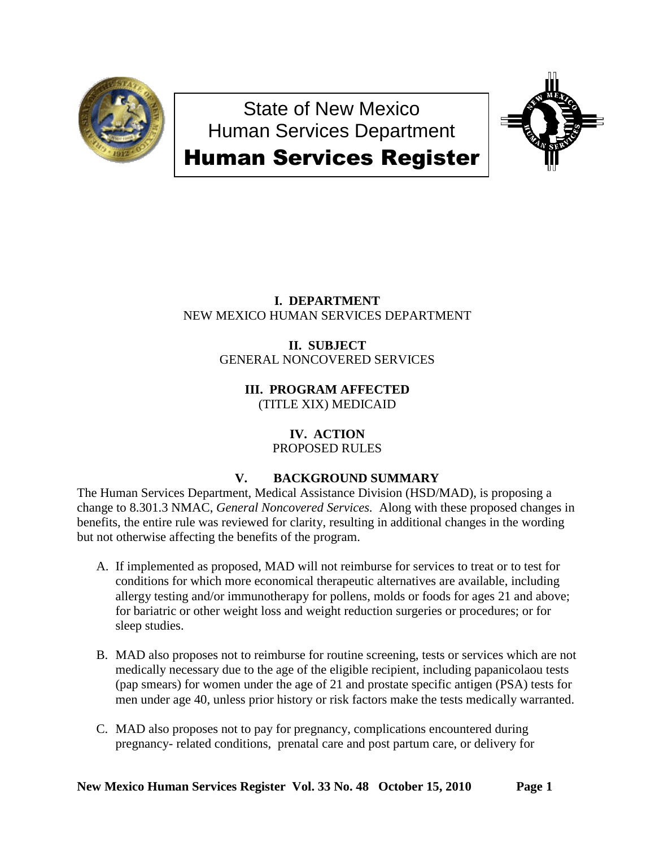

State of New Mexico Human Services Department



# Human Services Register

## **I. DEPARTMENT** NEW MEXICO HUMAN SERVICES DEPARTMENT

**II. SUBJECT** GENERAL NONCOVERED SERVICES

> **III. PROGRAM AFFECTED** (TITLE XIX) MEDICAID

#### **IV. ACTION** PROPOSED RULES

# **V. BACKGROUND SUMMARY**

The Human Services Department, Medical Assistance Division (HSD/MAD), is proposing a change to 8.301.3 NMAC, *General Noncovered Services.* Along with these proposed changes in benefits, the entire rule was reviewed for clarity, resulting in additional changes in the wording but not otherwise affecting the benefits of the program.

- A. If implemented as proposed, MAD will not reimburse for services to treat or to test for conditions for which more economical therapeutic alternatives are available, including allergy testing and/or immunotherapy for pollens, molds or foods for ages 21 and above; for bariatric or other weight loss and weight reduction surgeries or procedures; or for sleep studies.
- B. MAD also proposes not to reimburse for routine screening, tests or services which are not medically necessary due to the age of the eligible recipient, including papanicolaou tests (pap smears) for women under the age of 21 and prostate specific antigen (PSA) tests for men under age 40, unless prior history or risk factors make the tests medically warranted.
- C. MAD also proposes not to pay for pregnancy, complications encountered during pregnancy- related conditions, prenatal care and post partum care, or delivery for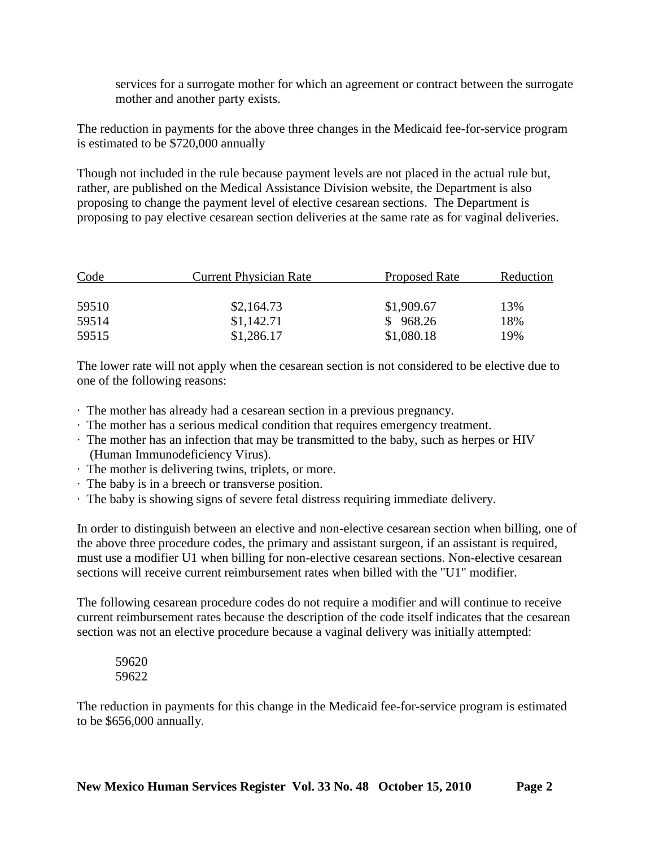services for a surrogate mother for which an agreement or contract between the surrogate mother and another party exists.

The reduction in payments for the above three changes in the Medicaid fee-for-service program is estimated to be \$720,000 annually

Though not included in the rule because payment levels are not placed in the actual rule but, rather, are published on the Medical Assistance Division website, the Department is also proposing to change the payment level of elective cesarean sections. The Department is proposing to pay elective cesarean section deliveries at the same rate as for vaginal deliveries.

| Code  | <b>Current Physician Rate</b> | Proposed Rate | Reduction |
|-------|-------------------------------|---------------|-----------|
| 59510 | \$2,164.73                    | \$1,909.67    | 13%       |
| 59514 | \$1,142.71                    | \$968.26      | 18%       |
| 59515 | \$1,286.17                    | \$1,080.18    | 19%       |

The lower rate will not apply when the cesarean section is not considered to be elective due to one of the following reasons:

- · The mother has already had a cesarean section in a previous pregnancy.
- · The mother has a serious medical condition that requires emergency treatment.
- · The mother has an infection that may be transmitted to the baby, such as herpes or HIV (Human Immunodeficiency Virus).
- · The mother is delivering twins, triplets, or more.
- · The baby is in a breech or transverse position.
- · The baby is showing signs of severe fetal distress requiring immediate delivery.

In order to distinguish between an elective and non-elective cesarean section when billing, one of the above three procedure codes, the primary and assistant surgeon, if an assistant is required, must use a modifier U1 when billing for non-elective cesarean sections. Non-elective cesarean sections will receive current reimbursement rates when billed with the "U1" modifier.

The following cesarean procedure codes do not require a modifier and will continue to receive current reimbursement rates because the description of the code itself indicates that the cesarean section was not an elective procedure because a vaginal delivery was initially attempted:

59620 59622

The reduction in payments for this change in the Medicaid fee-for-service program is estimated to be \$656,000 annually.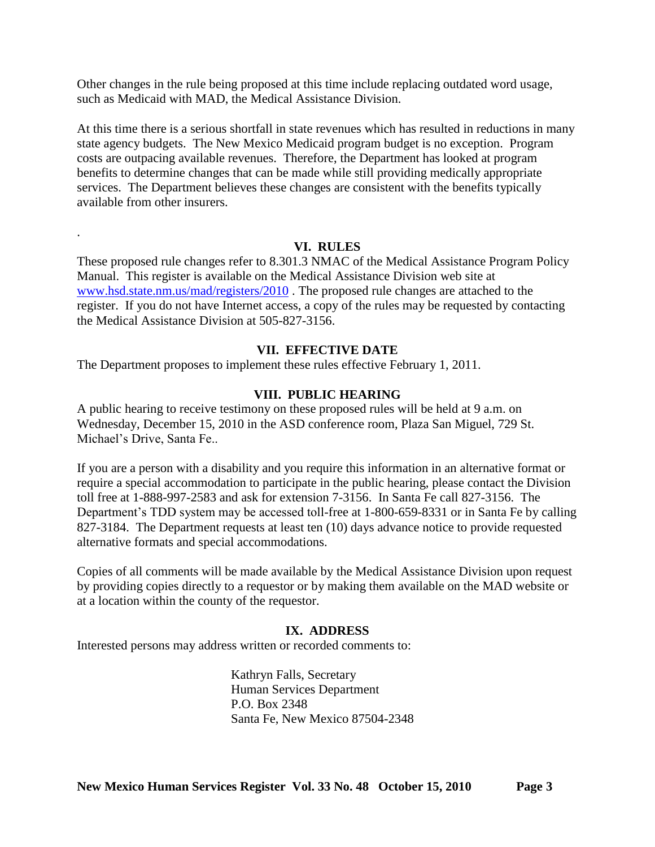Other changes in the rule being proposed at this time include replacing outdated word usage, such as Medicaid with MAD, the Medical Assistance Division.

At this time there is a serious shortfall in state revenues which has resulted in reductions in many state agency budgets. The New Mexico Medicaid program budget is no exception. Program costs are outpacing available revenues. Therefore, the Department has looked at program benefits to determine changes that can be made while still providing medically appropriate services. The Department believes these changes are consistent with the benefits typically available from other insurers.

## **VI. RULES**

These proposed rule changes refer to 8.301.3 NMAC of the Medical Assistance Program Policy Manual. This register is available on the Medical Assistance Division web site at [www.hsd.state.nm.us/mad/registers/2010](http://www.hsd.state.nm.us/mad/registers/2010) . The proposed rule changes are attached to the register. If you do not have Internet access, a copy of the rules may be requested by contacting the Medical Assistance Division at 505-827-3156.

## **VII. EFFECTIVE DATE**

The Department proposes to implement these rules effective February 1, 2011.

.

## **VIII. PUBLIC HEARING**

A public hearing to receive testimony on these proposed rules will be held at 9 a.m. on Wednesday, December 15, 2010 in the ASD conference room, Plaza San Miguel, 729 St. Michael's Drive, Santa Fe..

If you are a person with a disability and you require this information in an alternative format or require a special accommodation to participate in the public hearing, please contact the Division toll free at 1-888-997-2583 and ask for extension 7-3156. In Santa Fe call 827-3156. The Department's TDD system may be accessed toll-free at 1-800-659-8331 or in Santa Fe by calling 827-3184. The Department requests at least ten (10) days advance notice to provide requested alternative formats and special accommodations.

Copies of all comments will be made available by the Medical Assistance Division upon request by providing copies directly to a requestor or by making them available on the MAD website or at a location within the county of the requestor.

#### **IX. ADDRESS**

Interested persons may address written or recorded comments to:

Kathryn Falls, Secretary Human Services Department P.O. Box 2348 Santa Fe, New Mexico 87504-2348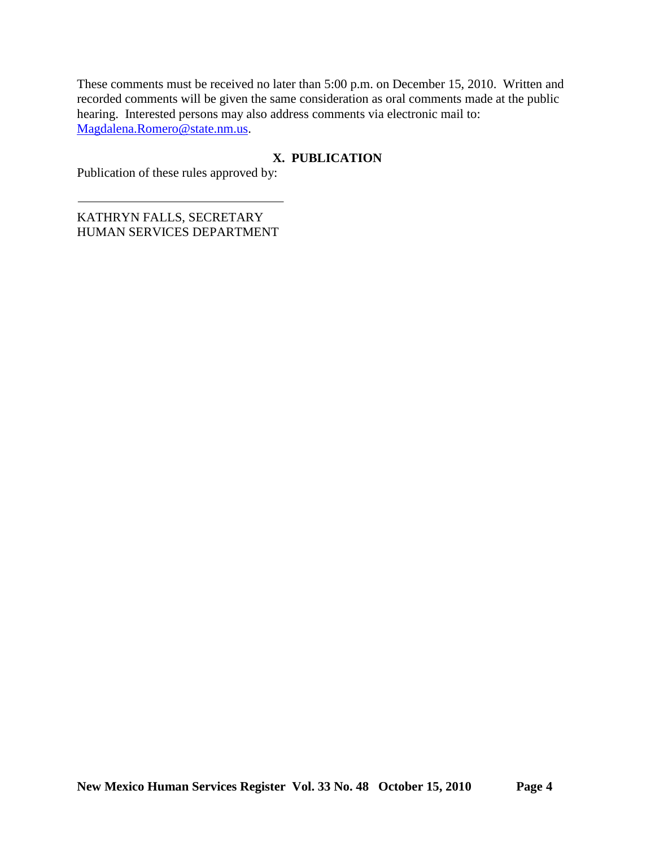These comments must be received no later than 5:00 p.m. on December 15, 2010. Written and recorded comments will be given the same consideration as oral comments made at the public hearing. Interested persons may also address comments via electronic mail to: [Magdalena.Romero@state.nm.us.](mailto:Magdalena.Romero@state.nm.us)

## **X. PUBLICATION**

Publication of these rules approved by:

KATHRYN FALLS, SECRETARY HUMAN SERVICES DEPARTMENT